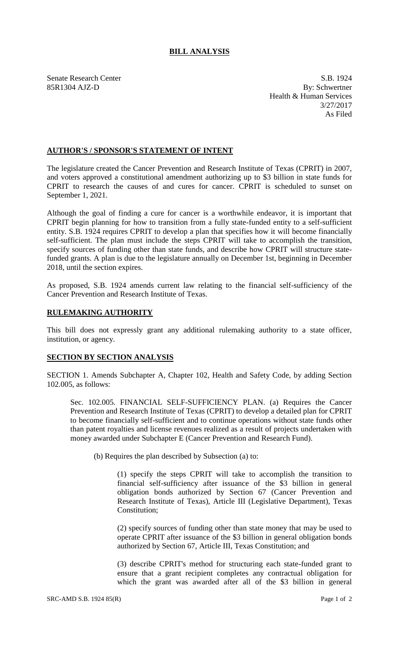## **BILL ANALYSIS**

Senate Research Center S.B. 1924 85R1304 AJZ-D By: Schwertner Health & Human Services 3/27/2017 As Filed

## **AUTHOR'S / SPONSOR'S STATEMENT OF INTENT**

The legislature created the Cancer Prevention and Research Institute of Texas (CPRIT) in 2007, and voters approved a constitutional amendment authorizing up to \$3 billion in state funds for CPRIT to research the causes of and cures for cancer. CPRIT is scheduled to sunset on September 1, 2021.

Although the goal of finding a cure for cancer is a worthwhile endeavor, it is important that CPRIT begin planning for how to transition from a fully state-funded entity to a self-sufficient entity. S.B. 1924 requires CPRIT to develop a plan that specifies how it will become financially self-sufficient. The plan must include the steps CPRIT will take to accomplish the transition, specify sources of funding other than state funds, and describe how CPRIT will structure statefunded grants. A plan is due to the legislature annually on December 1st, beginning in December 2018, until the section expires.

As proposed, S.B. 1924 amends current law relating to the financial self-sufficiency of the Cancer Prevention and Research Institute of Texas.

## **RULEMAKING AUTHORITY**

This bill does not expressly grant any additional rulemaking authority to a state officer, institution, or agency.

## **SECTION BY SECTION ANALYSIS**

SECTION 1. Amends Subchapter A, Chapter 102, Health and Safety Code, by adding Section 102.005, as follows:

Sec. 102.005. FINANCIAL SELF-SUFFICIENCY PLAN. (a) Requires the Cancer Prevention and Research Institute of Texas (CPRIT) to develop a detailed plan for CPRIT to become financially self-sufficient and to continue operations without state funds other than patent royalties and license revenues realized as a result of projects undertaken with money awarded under Subchapter E (Cancer Prevention and Research Fund).

(b) Requires the plan described by Subsection (a) to:

(1) specify the steps CPRIT will take to accomplish the transition to financial self-sufficiency after issuance of the \$3 billion in general obligation bonds authorized by Section 67 (Cancer Prevention and Research Institute of Texas), Article III (Legislative Department), Texas Constitution;

(2) specify sources of funding other than state money that may be used to operate CPRIT after issuance of the \$3 billion in general obligation bonds authorized by Section 67, Article III, Texas Constitution; and

(3) describe CPRIT's method for structuring each state-funded grant to ensure that a grant recipient completes any contractual obligation for which the grant was awarded after all of the \$3 billion in general